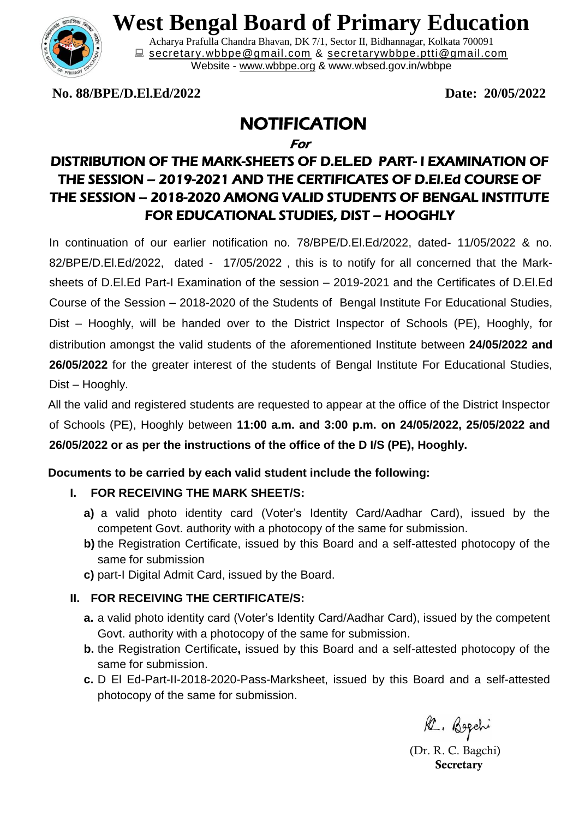

# **West Bengal Board of Primary Education**

Acharya Prafulla Chandra Bhavan, DK 7/1, Sector II, Bidhannagar, Kolkata 700091 **■** [secretary.wbbpe@gmail.com](mailto:secretary.wbbpe@gmail.com) & [secretarywbbpe.ptti@gmail.com](mailto:secretarywbbpe.ptti@gmail.com) Website - [www.wbbpe.org](http://www.wbbpe.org/) & www.wbsed.gov.in/wbbpe

**No. 88/BPE/D.El.Ed/2022 Date: 20/05/2022**

## NOTIFICATION

For

### DISTRIBUTION OF THE MARK-SHEETS OF D.EL.ED PART- I EXAMINATION OF THE SESSION – 2019-2021 AND THE CERTIFICATES OF D.El.Ed COURSE OF THE SESSION – 2018-2020 AMONG VALID STUDENTS OF BENGAL INSTITUTE FOR EDUCATIONAL STUDIES, DIST – HOOGHLY

In continuation of our earlier notification no. 78/BPE/D.El.Ed/2022, dated- 11/05/2022 & no. 82/BPE/D.El.Ed/2022, dated - 17/05/2022 , this is to notify for all concerned that the Marksheets of D.El.Ed Part-I Examination of the session – 2019-2021 and the Certificates of D.El.Ed Course of the Session – 2018-2020 of the Students of Bengal Institute For Educational Studies, Dist – Hooghly, will be handed over to the District Inspector of Schools (PE), Hooghly, for distribution amongst the valid students of the aforementioned Institute between **24/05/2022 and 26/05/2022** for the greater interest of the students of Bengal Institute For Educational Studies, Dist – Hooghly.

All the valid and registered students are requested to appear at the office of the District Inspector of Schools (PE), Hooghly between **11:00 a.m. and 3:00 p.m. on 24/05/2022, 25/05/2022 and 26/05/2022 or as per the instructions of the office of the D I/S (PE), Hooghly.** 

#### **Documents to be carried by each valid student include the following:**

#### **I. FOR RECEIVING THE MARK SHEET/S:**

- **a)** a valid photo identity card (Voter's Identity Card/Aadhar Card), issued by the competent Govt. authority with a photocopy of the same for submission.
- **b)** the Registration Certificate, issued by this Board and a self-attested photocopy of the same for submission
- **c)** part-I Digital Admit Card, issued by the Board.

#### **II. FOR RECEIVING THE CERTIFICATE/S:**

- **a.** a valid photo identity card (Voter's Identity Card/Aadhar Card), issued by the competent Govt. authority with a photocopy of the same for submission.
- **b.** the Registration Certificate**,** issued by this Board and a self-attested photocopy of the same for submission.
- **c.** D El Ed-Part-II-2018-2020-Pass-Marksheet, issued by this Board and a self-attested photocopy of the same for submission.

R. Bogchi

 (Dr. R. C. Bagchi)  **Secretary**